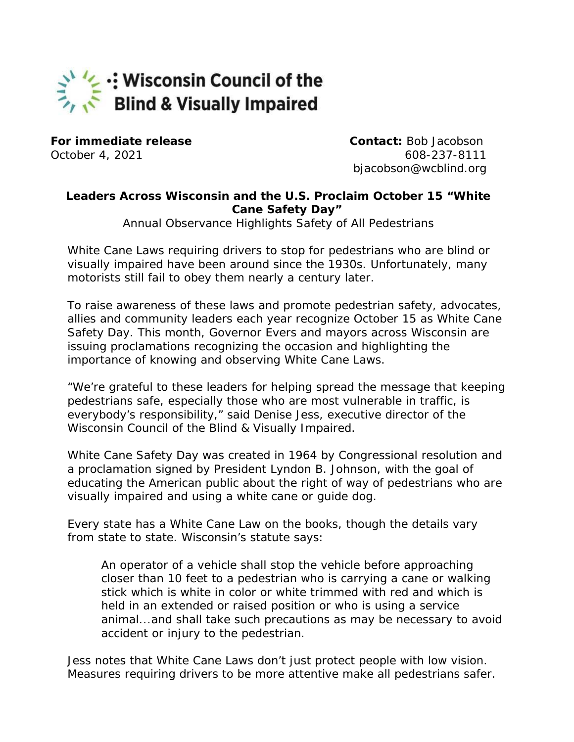## V: Wisconsin Council of the Blind & Visually Impaired

**For immediate release Contact:** Bob Jacobson

October 4, 2021 608-237-8111 bjacobson@wcblind.org

## **Leaders Across Wisconsin and the U.S. Proclaim October 15 "White Cane Safety Day"**

Annual Observance Highlights Safety of All Pedestrians

White Cane Laws requiring drivers to stop for pedestrians who are blind or visually impaired have been around since the 1930s. Unfortunately, many motorists still fail to obey them nearly a century later.

To raise awareness of these laws and promote pedestrian safety, advocates, allies and community leaders each year recognize October 15 as White Cane Safety Day. This month, Governor Evers and mayors across Wisconsin are issuing proclamations recognizing the occasion and highlighting the importance of knowing and observing White Cane Laws.

"We're grateful to these leaders for helping spread the message that keeping pedestrians safe, especially those who are most vulnerable in traffic, is everybody's responsibility," said Denise Jess, executive director of the Wisconsin Council of the Blind & Visually Impaired.

White Cane Safety Day was created in 1964 by Congressional resolution and a proclamation signed by President Lyndon B. Johnson, with the goal of educating the American public about the right of way of pedestrians who are visually impaired and using a white cane or guide dog.

Every state has a White Cane Law on the books, though the details vary from state to state. Wisconsin's statute says:

An operator of a vehicle shall stop the vehicle before approaching closer than 10 feet to a pedestrian who is carrying a cane or walking stick which is white in color or white trimmed with red and which is held in an extended or raised position or who is using a service animal...and shall take such precautions as may be necessary to avoid accident or injury to the pedestrian.

Jess notes that White Cane Laws don't just protect people with low vision. Measures requiring drivers to be more attentive make all pedestrians safer.